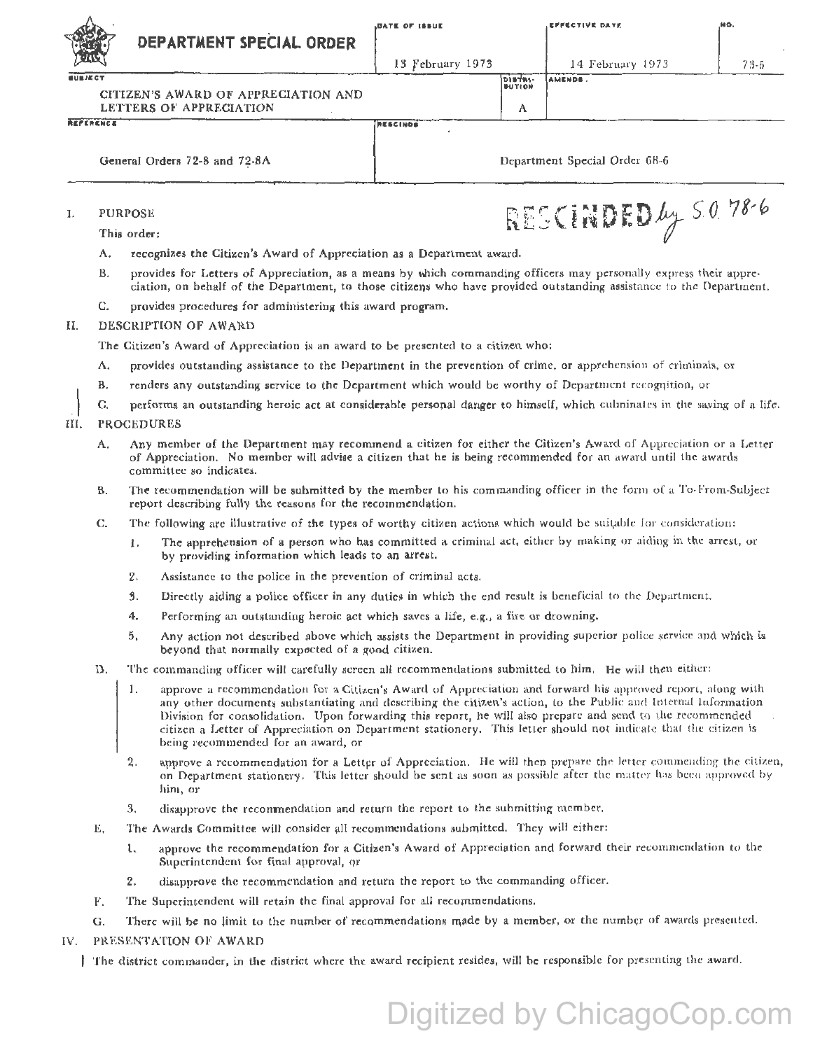| <b>DATE OF ISSUE</b> |  |
|----------------------|--|
|----------------------|--|

**NESCINDS** 

13 February 1973

AMENDS.

**DINTRI-**<br>BUTION

A

14 February 1973

 $73 - 5$ 

CITIZEN'S AWARD OF APPRECIATION AND LETTERS OF APPRECIATION

DEPARTMENT SPECIAL ORDER

REPERENCE

 $\overline{\cdots}$ 

General Orders 72-8 and 72-8A

Department Special Order 68-6

 $\mathbf{L}$ **PURPOSE** 

This order:

- $\Lambda$ . recognizes the Citizen's Award of Appreciation as a Department award.
- **B.** provides for Letters of Appreciation, as a means by which commanding officers may personally express their appreciation, on behalf of the Department, to those citizens who have provided outstanding assistance to the Department.
- Ċ. provides procedures for administering this award program.

## $II.$ DESCRIPTION OF AWARD

The Citizen's Award of Appreciation is an award to be presented to a citizen who:

- provides outstanding assistance to the Department in the prevention of crime, or apprehension of criminals, or Λ.
- renders any outstanding service to the Department which would be worthy of Department recognition, or **B.**
- C. performs an outstanding heroic act at considerable personal danger to himself, which culminates in the saving of a life.

## III. **PROCEDURES**

- Any member of the Department may recommend a citizen for either the Citizen's Award of Appreciation or a Letter A. of Appreciation. No member will advise a citizen that he is being recommended for an award until the awards committee so indicates.
- The recommendation will be submitted by the member to his commanding officer in the form of a To-From-Subject **B.** report describing fully the reasons for the recommendation.
- $C_{n}$ The following are illustrative of the types of worthy citizen actions which would be suitable for consideration:
	- The apprehension of a person who has committed a criminal act, either by making or aiding in the arrest, or l. by providing information which leads to an arrest.
	- $2.$ Assistance to the police in the prevention of criminal acts.
	- $\overline{3}$ . Directly aiding a police officer in any duties in which the end result is beneficial to the Department.
	- 4. Performing an outstanding heroic act which saves a life, e.g., a fire or drowning.
	- Any action not described above which assists the Department in providing superior police service and which is  $5.$ beyond that normally expected of a good citizen.
- D. The commanding officer will carefully screen all recommendations submitted to him. He will then either:
	- approve a recommendation for a Citizen's Award of Appreciation and forward his approved report, along with  $\mathbf{1}$ . any other documents substantiating and describing the citizen's action, to the Public and Internal Information Division for consolidation. Upon forwarding this report, he will also prepare and send to the recommended citizen a Letter of Appreciation on Department stationery. This letter should not indicate that the citizen is being recommended for an award, or
	- $2.$ approve a recommendation for a Letter of Appreciation. He will then prepare the letter commending the citizen, on Department stationery. This letter should be sent as soon as possible after the matter has been approved by him. or
	- disapprove the recommendation and return the report to the suhmitting member. 3.
- The Awards Committee will consider all recommendations submitted. They will either: Е.
	- approve the recommendation for a Citizen's Award of Appreciation and forward their recommendation to the 1. Superintendent for final approval, or
	- disapprove the recommendation and return the report to the commanding officer.  $2.$
- The Superintendent will retain the final approval for all recommendations.  $F_{\perp}$
- There will be no limit to the number of recommendations made by a member, or the number of awards prescuted. G.
- PRESENTATION OF AWARD  $IV.$ 
	- The district commander, in the district where the award recipient resides, will be responsible for presenting the award.

## Digitized by ChicagoCop.com

RESCINDED by S.O. 78-6